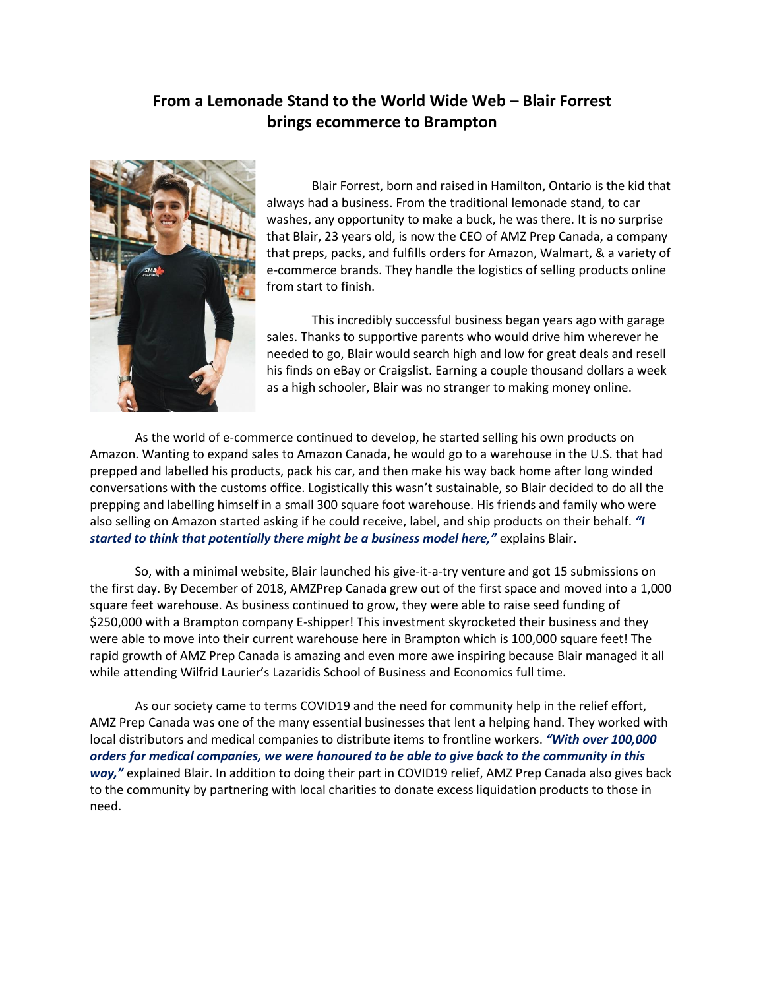## **From a Lemonade Stand to the World Wide Web – Blair Forrest brings ecommerce to Brampton**



Blair Forrest, born and raised in Hamilton, Ontario is the kid that always had a business. From the traditional lemonade stand, to car washes, any opportunity to make a buck, he was there. It is no surprise that Blair, 23 years old, is now the CEO of AMZ Prep Canada, a company that preps, packs, and fulfills orders for Amazon, Walmart, & a variety of e-commerce brands. They handle the logistics of selling products online from start to finish.

This incredibly successful business began years ago with garage sales. Thanks to supportive parents who would drive him wherever he needed to go, Blair would search high and low for great deals and resell his finds on eBay or Craigslist. Earning a couple thousand dollars a week as a high schooler, Blair was no stranger to making money online.

As the world of e-commerce continued to develop, he started selling his own products on Amazon. Wanting to expand sales to Amazon Canada, he would go to a warehouse in the U.S. that had prepped and labelled his products, pack his car, and then make his way back home after long winded conversations with the customs office. Logistically this wasn't sustainable, so Blair decided to do all the prepping and labelling himself in a small 300 square foot warehouse. His friends and family who were also selling on Amazon started asking if he could receive, label, and ship products on their behalf. *"I started to think that potentially there might be a business model here,"* explains Blair.

So, with a minimal website, Blair launched his give-it-a-try venture and got 15 submissions on the first day. By December of 2018, AMZPrep Canada grew out of the first space and moved into a 1,000 square feet warehouse. As business continued to grow, they were able to raise seed funding of \$250,000 with a Brampton company E-shipper! This investment skyrocketed their business and they were able to move into their current warehouse here in Brampton which is 100,000 square feet! The rapid growth of AMZ Prep Canada is amazing and even more awe inspiring because Blair managed it all while attending Wilfrid Laurier's Lazaridis School of Business and Economics full time.

As our society came to terms COVID19 and the need for community help in the relief effort, AMZ Prep Canada was one of the many essential businesses that lent a helping hand. They worked with local distributors and medical companies to distribute items to frontline workers. *"With over 100,000 orders for medical companies, we were honoured to be able to give back to the community in this*  way," explained Blair. In addition to doing their part in COVID19 relief, AMZ Prep Canada also gives back to the community by partnering with local charities to donate excess liquidation products to those in need.